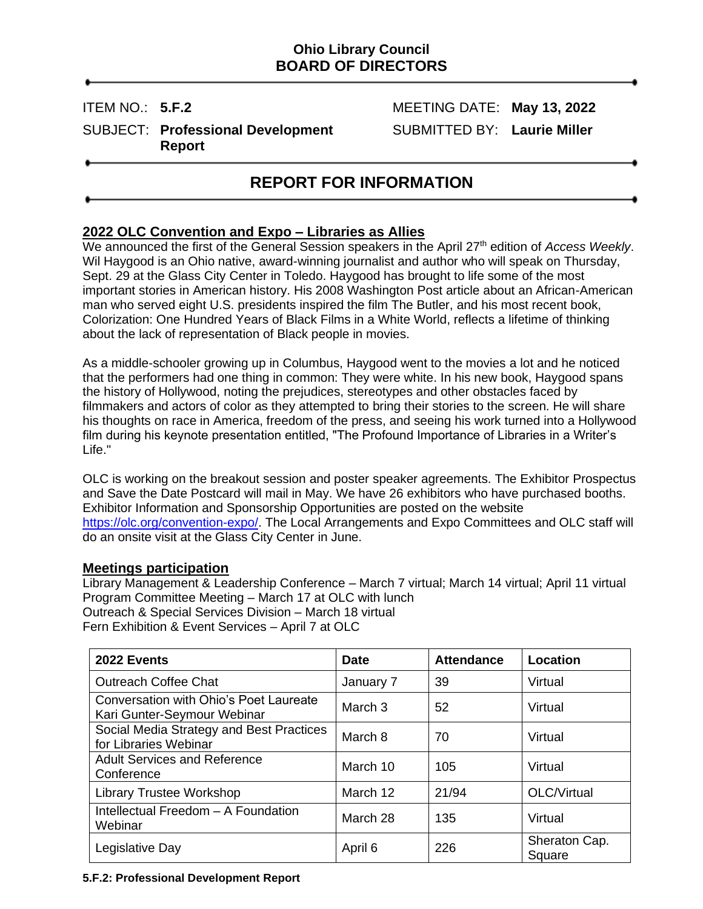## **Ohio Library Council BOARD OF DIRECTORS**

SUBJECT: **Professional Development** SUBMITTED BY: **Laurie Miller Report**

ITEM NO.: **5.F.2** MEETING DATE: **May 13, 2022**

# **REPORT FOR INFORMATION**

## **2022 OLC Convention and Expo – Libraries as Allies**

We announced the first of the General Session speakers in the April 27<sup>th</sup> edition of *Access Weekly*. Wil Haygood is an Ohio native, award-winning journalist and author who will speak on Thursday, Sept. 29 at the Glass City Center in Toledo. Haygood has brought to life some of the most important stories in American history. His 2008 Washington Post article about an African-American man who served eight U.S. presidents inspired the film The Butler, and his most recent book, Colorization: One Hundred Years of Black Films in a White World, reflects a lifetime of thinking about the lack of representation of Black people in movies.

As a middle-schooler growing up in Columbus, Haygood went to the movies a lot and he noticed that the performers had one thing in common: They were white. In his new book, Haygood spans the history of Hollywood, noting the prejudices, stereotypes and other obstacles faced by filmmakers and actors of color as they attempted to bring their stories to the screen. He will share his thoughts on race in America, freedom of the press, and seeing his work turned into a Hollywood film during his keynote presentation entitled, "The Profound Importance of Libraries in a Writer's Life."

OLC is working on the breakout session and poster speaker agreements. The Exhibitor Prospectus and Save the Date Postcard will mail in May. We have 26 exhibitors who have purchased booths. Exhibitor Information and Sponsorship Opportunities are posted on the website [https://olc.org/convention-expo/.](https://olc.org/convention-expo/) The Local Arrangements and Expo Committees and OLC staff will do an onsite visit at the Glass City Center in June.

#### **Meetings participation**

Library Management & Leadership Conference – March 7 virtual; March 14 virtual; April 11 virtual Program Committee Meeting – March 17 at OLC with lunch Outreach & Special Services Division – March 18 virtual Fern Exhibition & Event Services – April 7 at OLC

| 2022 Events                                                           | <b>Date</b>        | <b>Attendance</b> | Location                |
|-----------------------------------------------------------------------|--------------------|-------------------|-------------------------|
| <b>Outreach Coffee Chat</b>                                           | January 7          | 39                | Virtual                 |
| Conversation with Ohio's Poet Laureate<br>Kari Gunter-Seymour Webinar | March <sub>3</sub> | 52                | Virtual                 |
| Social Media Strategy and Best Practices<br>for Libraries Webinar     | March 8            | 70                | Virtual                 |
| <b>Adult Services and Reference</b><br>Conference                     | March 10           | 105               | Virtual                 |
| <b>Library Trustee Workshop</b>                                       | March 12           | 21/94             | OLC/Virtual             |
| Intellectual Freedom - A Foundation<br>Webinar                        | March 28           | 135               | Virtual                 |
| Legislative Day                                                       | April 6            | 226               | Sheraton Cap.<br>Square |

**5.F.2: Professional Development Report**